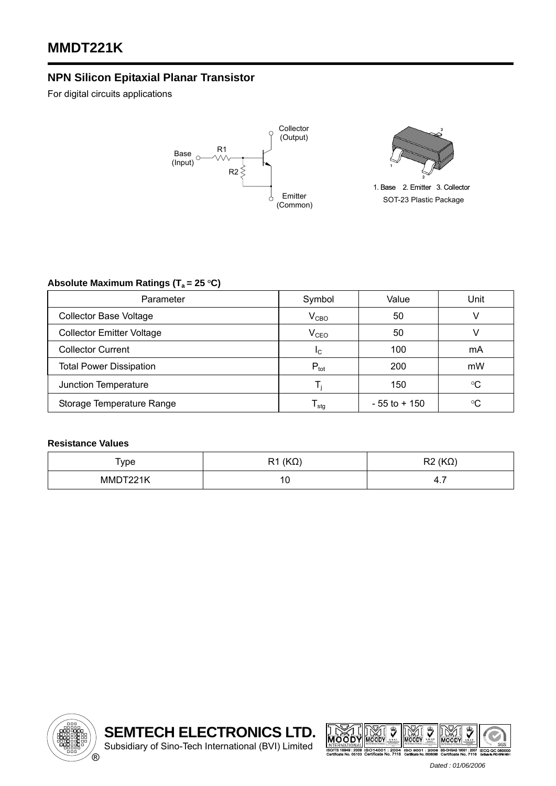## **NPN Silicon Epitaxial Planar Transistor**

For digital circuits applications





1. Base 2. Emitter 3. Collector SOT-23 Plastic Package

## Absolute Maximum Ratings (T<sub>a</sub> = 25 °C)

| Parameter                        | Symbol           | Value           | Unit        |  |
|----------------------------------|------------------|-----------------|-------------|--|
| <b>Collector Base Voltage</b>    | $\rm V_{CBO}$    | 50              |             |  |
| <b>Collector Emitter Voltage</b> | V <sub>CEO</sub> | 50              |             |  |
| <b>Collector Current</b>         | <sub>IC</sub>    | 100             | mA          |  |
| <b>Total Power Dissipation</b>   | $P_{\text{tot}}$ | 200             | mW          |  |
| Junction Temperature             |                  | 150             | $^{\circ}C$ |  |
| Storage Temperature Range        | l <sub>stq</sub> | $-55$ to $+150$ | $^{\circ}C$ |  |

## **Resistance Values**

| Type     | $(K\Omega)$<br>R <sub>1</sub> | $R2(K\Omega)$ |
|----------|-------------------------------|---------------|
| MMDT221K | 1 C<br>ט ו                    | 4.7           |





 *Dated : 01/06/2006*